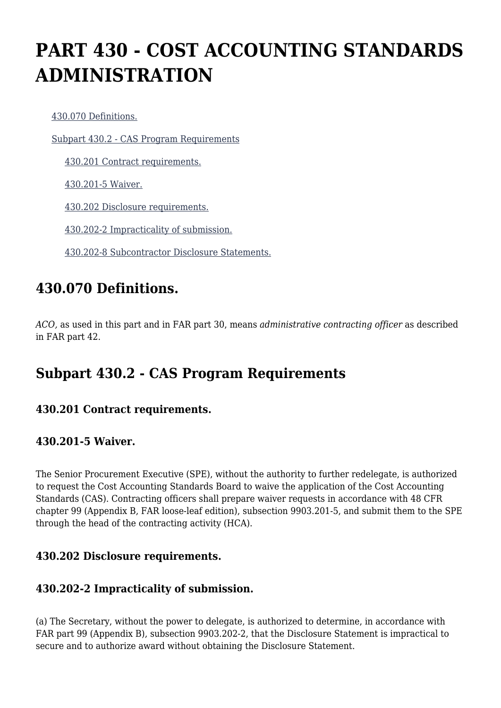# **PART 430 - COST ACCOUNTING STANDARDS ADMINISTRATION**

[430.070 Definitions.](https://origin-www.acquisition.gov/%5Brp:link:agar-part-430%5D#Section_430_070_T48_4021530011)

[Subpart 430.2 - CAS Program Requirements](https://origin-www.acquisition.gov/%5Brp:link:agar-part-430%5D#Subpart_430_2_T48_40215301)

[430.201 Contract requirements.](https://origin-www.acquisition.gov/%5Brp:link:agar-part-430%5D#Section_430_201_T48_4021530111)

[430.201-5 Waiver.](https://origin-www.acquisition.gov/%5Brp:link:agar-part-430%5D#Section_430_201_5_T48_4021530112)

[430.202 Disclosure requirements.](https://origin-www.acquisition.gov/%5Brp:link:agar-part-430%5D#Section_430_202_T48_4021530113)

[430.202-2 Impracticality of submission.](https://origin-www.acquisition.gov/%5Brp:link:agar-part-430%5D#Section_430_202_2_T48_4021530114)

[430.202-8 Subcontractor Disclosure Statements.](https://origin-www.acquisition.gov/%5Brp:link:agar-part-430%5D#Section_430_202_8_T48_4021530115)

## **430.070 Definitions.**

*ACO,* as used in this part and in FAR part 30, means *administrative contracting officer* as described in FAR part 42.

## **Subpart 430.2 - CAS Program Requirements**

#### **430.201 Contract requirements.**

#### **430.201-5 Waiver.**

The Senior Procurement Executive (SPE), without the authority to further redelegate, is authorized to request the Cost Accounting Standards Board to waive the application of the Cost Accounting Standards (CAS). Contracting officers shall prepare waiver requests in accordance with 48 CFR chapter 99 (Appendix B, FAR loose-leaf edition), subsection 9903.201-5, and submit them to the SPE through the head of the contracting activity (HCA).

#### **430.202 Disclosure requirements.**

#### **430.202-2 Impracticality of submission.**

(a) The Secretary, without the power to delegate, is authorized to determine, in accordance with FAR part 99 (Appendix B), subsection 9903.202-2, that the Disclosure Statement is impractical to secure and to authorize award without obtaining the Disclosure Statement.